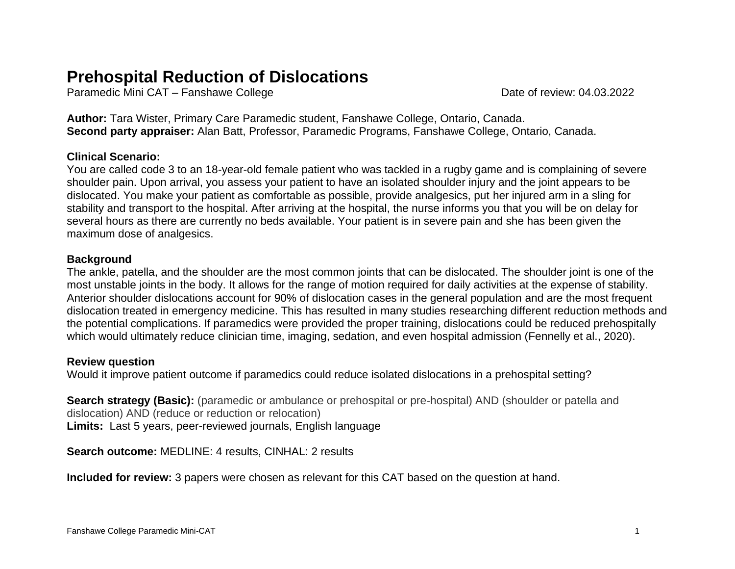# **Prehospital Reduction of Dislocations**

Paramedic Mini CAT – Fanshawe College Date of review: 04.03.2022

**Author:** Tara Wister, Primary Care Paramedic student, Fanshawe College, Ontario, Canada. **Second party appraiser:** Alan Batt, Professor, Paramedic Programs, Fanshawe College, Ontario, Canada.

# **Clinical Scenario:**

You are called code 3 to an 18-year-old female patient who was tackled in a rugby game and is complaining of severe shoulder pain. Upon arrival, you assess your patient to have an isolated shoulder injury and the joint appears to be dislocated. You make your patient as comfortable as possible, provide analgesics, put her injured arm in a sling for stability and transport to the hospital. After arriving at the hospital, the nurse informs you that you will be on delay for several hours as there are currently no beds available. Your patient is in severe pain and she has been given the maximum dose of analgesics.

### **Background**

The ankle, patella, and the shoulder are the most common joints that can be dislocated. The shoulder joint is one of the most unstable joints in the body. It allows for the range of motion required for daily activities at the expense of stability. Anterior shoulder dislocations account for 90% of dislocation cases in the general population and are the most frequent dislocation treated in emergency medicine. This has resulted in many studies researching different reduction methods and the potential complications. If paramedics were provided the proper training, dislocations could be reduced prehospitally which would ultimately reduce clinician time, imaging, sedation, and even hospital admission (Fennelly et al., 2020).

# **Review question**

Would it improve patient outcome if paramedics could reduce isolated dislocations in a prehospital setting?

**Search strategy (Basic):** (paramedic or ambulance or prehospital or pre-hospital) AND (shoulder or patella and dislocation) AND (reduce or reduction or relocation) **Limits:** Last 5 years, peer-reviewed journals, English language

**Search outcome:** MEDLINE: 4 results, CINHAL: 2 results

**Included for review:** 3 papers were chosen as relevant for this CAT based on the question at hand.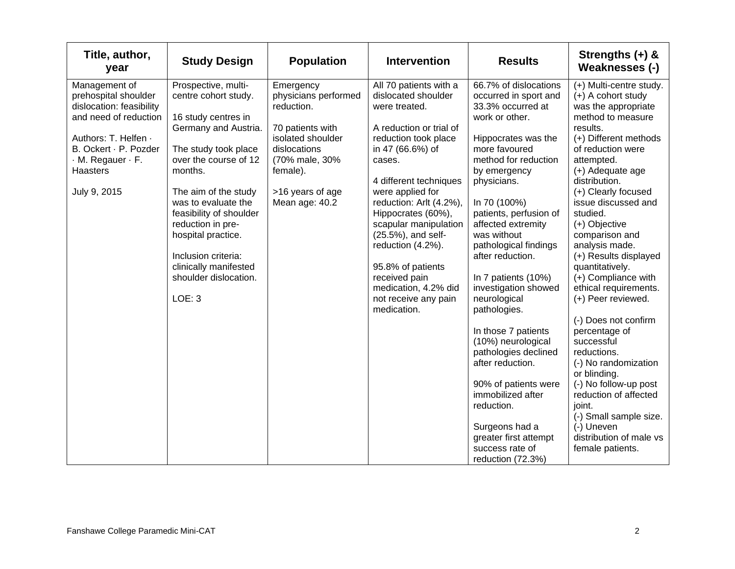| Title, author,<br>year                                                                                                                                                                                   | <b>Study Design</b>                                                                                                                                                                                                                                                                                                                                            | <b>Population</b>                                                                                                                                                            | <b>Intervention</b>                                                                                                                                                                                                                                                                                                                                                                                                     | <b>Results</b>                                                                                                                                                                                                                                                                                                                                                                                                                                                                                                                                                                                                                         | Strengths $(+)$ &<br>Weaknesses (-)                                                                                                                                                                                                                                                                                                                                                                                                                                                                                                                                                                                                                                                                      |
|----------------------------------------------------------------------------------------------------------------------------------------------------------------------------------------------------------|----------------------------------------------------------------------------------------------------------------------------------------------------------------------------------------------------------------------------------------------------------------------------------------------------------------------------------------------------------------|------------------------------------------------------------------------------------------------------------------------------------------------------------------------------|-------------------------------------------------------------------------------------------------------------------------------------------------------------------------------------------------------------------------------------------------------------------------------------------------------------------------------------------------------------------------------------------------------------------------|----------------------------------------------------------------------------------------------------------------------------------------------------------------------------------------------------------------------------------------------------------------------------------------------------------------------------------------------------------------------------------------------------------------------------------------------------------------------------------------------------------------------------------------------------------------------------------------------------------------------------------------|----------------------------------------------------------------------------------------------------------------------------------------------------------------------------------------------------------------------------------------------------------------------------------------------------------------------------------------------------------------------------------------------------------------------------------------------------------------------------------------------------------------------------------------------------------------------------------------------------------------------------------------------------------------------------------------------------------|
| Management of<br>prehospital shoulder<br>dislocation: feasibility<br>and need of reduction<br>Authors: T. Helfen ·<br>B. Ockert · P. Pozder<br>$\cdot$ M. Regauer $\cdot$ F.<br>Haasters<br>July 9, 2015 | Prospective, multi-<br>centre cohort study.<br>16 study centres in<br>Germany and Austria.<br>The study took place<br>over the course of 12<br>months.<br>The aim of the study<br>was to evaluate the<br>feasibility of shoulder<br>reduction in pre-<br>hospital practice.<br>Inclusion criteria:<br>clinically manifested<br>shoulder dislocation.<br>LOE: 3 | Emergency<br>physicians performed<br>reduction.<br>70 patients with<br>isolated shoulder<br>dislocations<br>(70% male, 30%<br>female).<br>>16 years of age<br>Mean age: 40.2 | All 70 patients with a<br>dislocated shoulder<br>were treated.<br>A reduction or trial of<br>reduction took place<br>in 47 (66.6%) of<br>cases.<br>4 different techniques<br>were applied for<br>reduction: Arlt (4.2%),<br>Hippocrates (60%),<br>scapular manipulation<br>(25.5%), and self-<br>reduction (4.2%).<br>95.8% of patients<br>received pain<br>medication, 4.2% did<br>not receive any pain<br>medication. | 66.7% of dislocations<br>occurred in sport and<br>33.3% occurred at<br>work or other.<br>Hippocrates was the<br>more favoured<br>method for reduction<br>by emergency<br>physicians.<br>In 70 (100%)<br>patients, perfusion of<br>affected extremity<br>was without<br>pathological findings<br>after reduction.<br>In 7 patients (10%)<br>investigation showed<br>neurological<br>pathologies.<br>In those 7 patients<br>(10%) neurological<br>pathologies declined<br>after reduction.<br>90% of patients were<br>immobilized after<br>reduction.<br>Surgeons had a<br>greater first attempt<br>success rate of<br>reduction (72.3%) | (+) Multi-centre study.<br>(+) A cohort study<br>was the appropriate<br>method to measure<br>results.<br>(+) Different methods<br>of reduction were<br>attempted.<br>(+) Adequate age<br>distribution.<br>(+) Clearly focused<br>issue discussed and<br>studied.<br>(+) Objective<br>comparison and<br>analysis made.<br>(+) Results displayed<br>quantitatively.<br>(+) Compliance with<br>ethical requirements.<br>(+) Peer reviewed.<br>(-) Does not confirm<br>percentage of<br>successful<br>reductions.<br>(-) No randomization<br>or blinding.<br>(-) No follow-up post<br>reduction of affected<br>joint.<br>(-) Small sample size.<br>(-) Uneven<br>distribution of male vs<br>female patients. |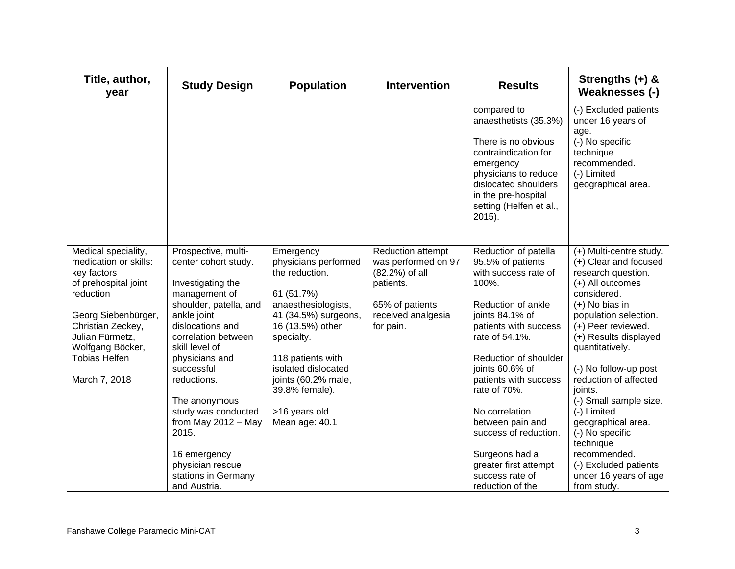| Title, author,<br>year                                                                                                                                                                                                       | <b>Study Design</b>                                                                                                                                                                                                                                                                                                                                                                         | <b>Population</b>                                                                                                                                                                                                                                                          | <b>Intervention</b>                                                                                                           | <b>Results</b>                                                                                                                                                                                                                                                                                                                                                                                       | Strengths $(+)$ &<br>Weaknesses (-)                                                                                                                                                                                                                                                                                                                                                                                                                                   |
|------------------------------------------------------------------------------------------------------------------------------------------------------------------------------------------------------------------------------|---------------------------------------------------------------------------------------------------------------------------------------------------------------------------------------------------------------------------------------------------------------------------------------------------------------------------------------------------------------------------------------------|----------------------------------------------------------------------------------------------------------------------------------------------------------------------------------------------------------------------------------------------------------------------------|-------------------------------------------------------------------------------------------------------------------------------|------------------------------------------------------------------------------------------------------------------------------------------------------------------------------------------------------------------------------------------------------------------------------------------------------------------------------------------------------------------------------------------------------|-----------------------------------------------------------------------------------------------------------------------------------------------------------------------------------------------------------------------------------------------------------------------------------------------------------------------------------------------------------------------------------------------------------------------------------------------------------------------|
|                                                                                                                                                                                                                              |                                                                                                                                                                                                                                                                                                                                                                                             |                                                                                                                                                                                                                                                                            |                                                                                                                               | compared to<br>anaesthetists (35.3%)<br>There is no obvious<br>contraindication for<br>emergency<br>physicians to reduce<br>dislocated shoulders<br>in the pre-hospital<br>setting (Helfen et al.,<br>2015).                                                                                                                                                                                         | (-) Excluded patients<br>under 16 years of<br>age.<br>(-) No specific<br>technique<br>recommended.<br>(-) Limited<br>geographical area.                                                                                                                                                                                                                                                                                                                               |
| Medical speciality,<br>medication or skills:<br>key factors<br>of prehospital joint<br>reduction<br>Georg Siebenbürger,<br>Christian Zeckey,<br>Julian Fürmetz,<br>Wolfgang Böcker,<br><b>Tobias Helfen</b><br>March 7, 2018 | Prospective, multi-<br>center cohort study.<br>Investigating the<br>management of<br>shoulder, patella, and<br>ankle joint<br>dislocations and<br>correlation between<br>skill level of<br>physicians and<br>successful<br>reductions.<br>The anonymous<br>study was conducted<br>from May $2012 - May$<br>2015.<br>16 emergency<br>physician rescue<br>stations in Germany<br>and Austria. | Emergency<br>physicians performed<br>the reduction.<br>61 (51.7%)<br>anaesthesiologists,<br>41 (34.5%) surgeons,<br>16 (13.5%) other<br>specialty.<br>118 patients with<br>isolated dislocated<br>joints (60.2% male,<br>39.8% female).<br>>16 years old<br>Mean age: 40.1 | Reduction attempt<br>was performed on 97<br>(82.2%) of all<br>patients.<br>65% of patients<br>received analgesia<br>for pain. | Reduction of patella<br>95.5% of patients<br>with success rate of<br>100%.<br>Reduction of ankle<br>joints 84.1% of<br>patients with success<br>rate of 54.1%.<br>Reduction of shoulder<br>joints 60.6% of<br>patients with success<br>rate of 70%.<br>No correlation<br>between pain and<br>success of reduction.<br>Surgeons had a<br>greater first attempt<br>success rate of<br>reduction of the | (+) Multi-centre study.<br>(+) Clear and focused<br>research question.<br>(+) All outcomes<br>considered.<br>$(+)$ No bias in<br>population selection.<br>(+) Peer reviewed.<br>(+) Results displayed<br>quantitatively.<br>(-) No follow-up post<br>reduction of affected<br>joints.<br>(-) Small sample size.<br>(-) Limited<br>geographical area.<br>(-) No specific<br>technique<br>recommended.<br>(-) Excluded patients<br>under 16 years of age<br>from study. |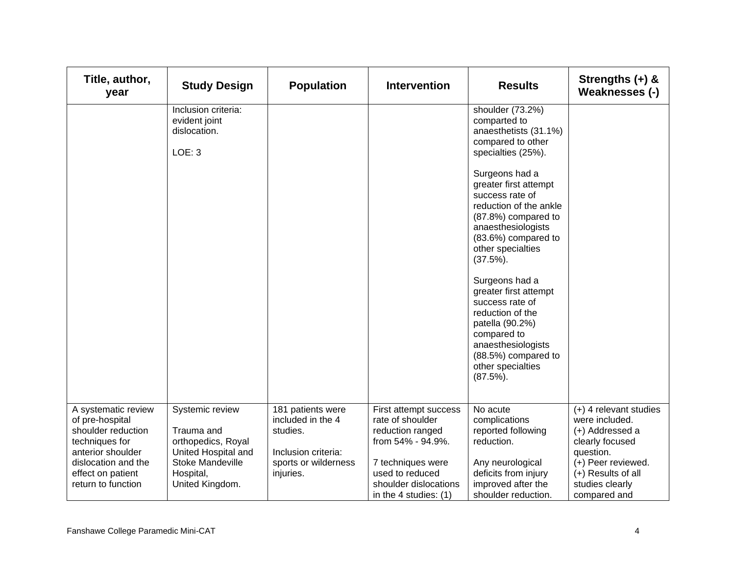| Title, author,<br>year                                                                                                                                                | <b>Study Design</b>                                                                                                            | <b>Population</b>                                                                                              | <b>Intervention</b>                                                                                                                                                          | <b>Results</b>                                                                                                                                                                                                                           | Strengths (+) &<br>Weaknesses (-)                                                                                                                                            |
|-----------------------------------------------------------------------------------------------------------------------------------------------------------------------|--------------------------------------------------------------------------------------------------------------------------------|----------------------------------------------------------------------------------------------------------------|------------------------------------------------------------------------------------------------------------------------------------------------------------------------------|------------------------------------------------------------------------------------------------------------------------------------------------------------------------------------------------------------------------------------------|------------------------------------------------------------------------------------------------------------------------------------------------------------------------------|
|                                                                                                                                                                       | Inclusion criteria:<br>evident joint<br>dislocation.<br>LOE: 3                                                                 |                                                                                                                |                                                                                                                                                                              | shoulder (73.2%)<br>comparted to<br>anaesthetists (31.1%)<br>compared to other<br>specialties (25%).                                                                                                                                     |                                                                                                                                                                              |
|                                                                                                                                                                       |                                                                                                                                |                                                                                                                |                                                                                                                                                                              | Surgeons had a<br>greater first attempt<br>success rate of<br>reduction of the ankle<br>(87.8%) compared to<br>anaesthesiologists<br>(83.6%) compared to<br>other specialties<br>$(37.5\%)$ .<br>Surgeons had a<br>greater first attempt |                                                                                                                                                                              |
|                                                                                                                                                                       |                                                                                                                                |                                                                                                                |                                                                                                                                                                              | success rate of<br>reduction of the<br>patella (90.2%)<br>compared to<br>anaesthesiologists<br>(88.5%) compared to<br>other specialties<br>$(87.5\%)$ .                                                                                  |                                                                                                                                                                              |
| A systematic review<br>of pre-hospital<br>shoulder reduction<br>techniques for<br>anterior shoulder<br>dislocation and the<br>effect on patient<br>return to function | Systemic review<br>Trauma and<br>orthopedics, Royal<br>United Hospital and<br>Stoke Mandeville<br>Hospital,<br>United Kingdom. | 181 patients were<br>included in the 4<br>studies.<br>Inclusion criteria:<br>sports or wilderness<br>injuries. | First attempt success<br>rate of shoulder<br>reduction ranged<br>from 54% - 94.9%.<br>7 techniques were<br>used to reduced<br>shoulder dislocations<br>in the 4 studies: (1) | No acute<br>complications<br>reported following<br>reduction.<br>Any neurological<br>deficits from injury<br>improved after the<br>shoulder reduction.                                                                                   | $(+)$ 4 relevant studies<br>were included.<br>(+) Addressed a<br>clearly focused<br>question.<br>(+) Peer reviewed.<br>(+) Results of all<br>studies clearly<br>compared and |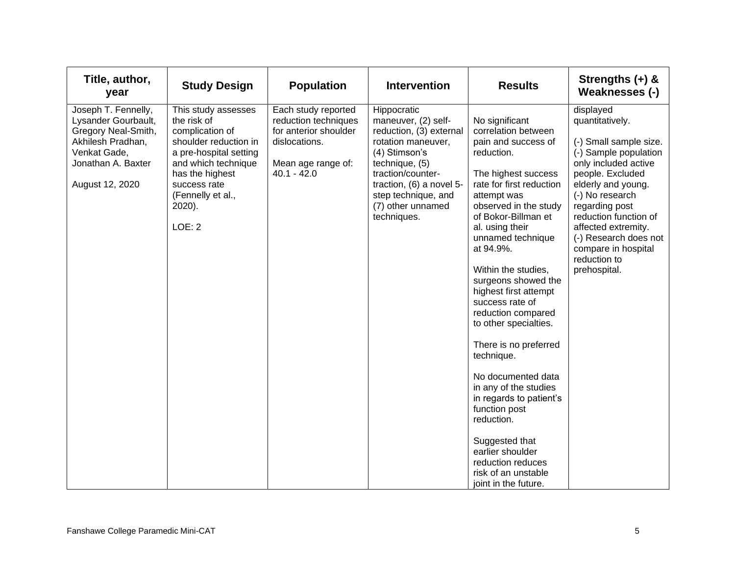| Title, author,<br>year                                                                                                                          | <b>Study Design</b>                                                                                                                                                                                         | <b>Population</b>                                                                                                            | <b>Intervention</b>                                                                                                                                                                                                                | <b>Results</b>                                                                                                                                                                                                                                                                                                                                                                                                                                                                                                                                                                                                                                       | Strengths $(+)$ &<br>Weaknesses (-)                                                                                                                                                                                                                                                                                    |
|-------------------------------------------------------------------------------------------------------------------------------------------------|-------------------------------------------------------------------------------------------------------------------------------------------------------------------------------------------------------------|------------------------------------------------------------------------------------------------------------------------------|------------------------------------------------------------------------------------------------------------------------------------------------------------------------------------------------------------------------------------|------------------------------------------------------------------------------------------------------------------------------------------------------------------------------------------------------------------------------------------------------------------------------------------------------------------------------------------------------------------------------------------------------------------------------------------------------------------------------------------------------------------------------------------------------------------------------------------------------------------------------------------------------|------------------------------------------------------------------------------------------------------------------------------------------------------------------------------------------------------------------------------------------------------------------------------------------------------------------------|
| Joseph T. Fennelly,<br>Lysander Gourbault,<br>Gregory Neal-Smith,<br>Akhilesh Pradhan,<br>Venkat Gade,<br>Jonathan A. Baxter<br>August 12, 2020 | This study assesses<br>the risk of<br>complication of<br>shoulder reduction in<br>a pre-hospital setting<br>and which technique<br>has the highest<br>success rate<br>(Fennelly et al.,<br>2020).<br>LOE: 2 | Each study reported<br>reduction techniques<br>for anterior shoulder<br>dislocations.<br>Mean age range of:<br>$40.1 - 42.0$ | Hippocratic<br>maneuver, (2) self-<br>reduction, (3) external<br>rotation maneuver,<br>(4) Stimson's<br>technique, (5)<br>traction/counter-<br>traction, (6) a novel 5-<br>step technique, and<br>(7) other unnamed<br>techniques. | No significant<br>correlation between<br>pain and success of<br>reduction.<br>The highest success<br>rate for first reduction<br>attempt was<br>observed in the study<br>of Bokor-Billman et<br>al. using their<br>unnamed technique<br>at 94.9%.<br>Within the studies,<br>surgeons showed the<br>highest first attempt<br>success rate of<br>reduction compared<br>to other specialties.<br>There is no preferred<br>technique.<br>No documented data<br>in any of the studies<br>in regards to patient's<br>function post<br>reduction.<br>Suggested that<br>earlier shoulder<br>reduction reduces<br>risk of an unstable<br>joint in the future. | displayed<br>quantitatively.<br>(-) Small sample size.<br>(-) Sample population<br>only included active<br>people. Excluded<br>elderly and young.<br>(-) No research<br>regarding post<br>reduction function of<br>affected extremity.<br>(-) Research does not<br>compare in hospital<br>reduction to<br>prehospital. |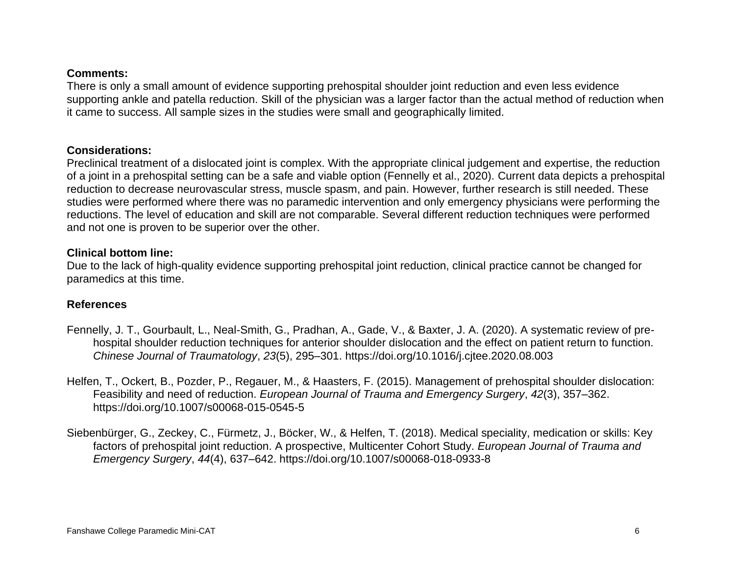#### **Comments:**

There is only a small amount of evidence supporting prehospital shoulder joint reduction and even less evidence supporting ankle and patella reduction. Skill of the physician was a larger factor than the actual method of reduction when it came to success. All sample sizes in the studies were small and geographically limited.

#### **Considerations:**

Preclinical treatment of a dislocated joint is complex. With the appropriate clinical judgement and expertise, the reduction of a joint in a prehospital setting can be a safe and viable option (Fennelly et al., 2020). Current data depicts a prehospital reduction to decrease neurovascular stress, muscle spasm, and pain. However, further research is still needed. These studies were performed where there was no paramedic intervention and only emergency physicians were performing the reductions. The level of education and skill are not comparable. Several different reduction techniques were performed and not one is proven to be superior over the other.

#### **Clinical bottom line:**

Due to the lack of high-quality evidence supporting prehospital joint reduction, clinical practice cannot be changed for paramedics at this time.

#### **References**

- Fennelly, J. T., Gourbault, L., Neal-Smith, G., Pradhan, A., Gade, V., & Baxter, J. A. (2020). A systematic review of prehospital shoulder reduction techniques for anterior shoulder dislocation and the effect on patient return to function. *Chinese Journal of Traumatology*, *23*(5), 295–301. https://doi.org/10.1016/j.cjtee.2020.08.003
- Helfen, T., Ockert, B., Pozder, P., Regauer, M., & Haasters, F. (2015). Management of prehospital shoulder dislocation: Feasibility and need of reduction. *European Journal of Trauma and Emergency Surgery*, *42*(3), 357–362. https://doi.org/10.1007/s00068-015-0545-5
- Siebenbürger, G., Zeckey, C., Fürmetz, J., Böcker, W., & Helfen, T. (2018). Medical speciality, medication or skills: Key factors of prehospital joint reduction. A prospective, Multicenter Cohort Study. *European Journal of Trauma and Emergency Surgery*, *44*(4), 637–642. https://doi.org/10.1007/s00068-018-0933-8